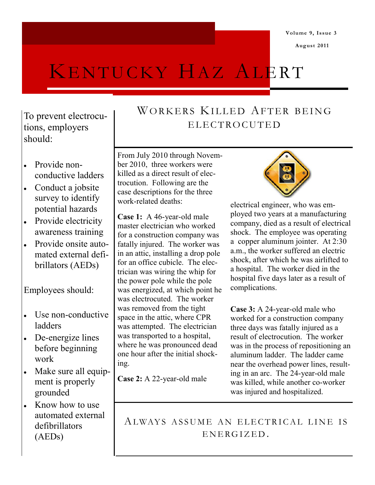**Volume 9, Issue 3**

**August 2011**

# KENTUCKY HAZ ALERT

To prevent electrocutions, employers should:

- Provide non- $\bullet$ conductive ladders
- Conduct a jobsite survey to identify potential hazards
- Provide electricity awareness training
- Provide onsite automated external defibrillators (AEDs)

Employees should:

- Use non-conductive  $\bullet$ ladders
- De-energize lines  $\bullet$ before beginning work
- Make sure all equip- $\bullet$ ment is properly grounded
- Know how to use  $\bullet$ automated external defibrillators (AEDs)

## WORKERS KILLED AFTER BEING ELECTROCUTED

From July 2010 through November 2010, three workers were killed as a direct result of electrocution. Following are the case descriptions for the three work-related deaths:

**Case 1:** A 46-year-old male master electrician who worked for a construction company was fatally injured. The worker was in an attic, installing a drop pole for an office cubicle. The electrician was wiring the whip for the power pole while the pole was energized, at which point he was electrocuted. The worker was removed from the tight space in the attic, where CPR was attempted. The electrician was transported to a hospital, where he was pronounced dead one hour after the initial shocking.

**Case 2:** A 22-year-old male



electrical engineer, who was employed two years at a manufacturing company, died as a result of electrical shock. The employee was operating a copper aluminum jointer. At 2:30 a.m., the worker suffered an electric shock, after which he was airlifted to a hospital. The worker died in the hospital five days later as a result of complications.

**Case 3:** A 24-year-old male who worked for a construction company three days was fatally injured as a result of electrocution. The worker was in the process of repositioning an aluminum ladder. The ladder came near the overhead power lines, resulting in an arc. The 24-year-old male was killed, while another co-worker was injured and hospitalized.

ALWAYS ASSUME AN ELECTRICAL LINE IS ENERGIZED.